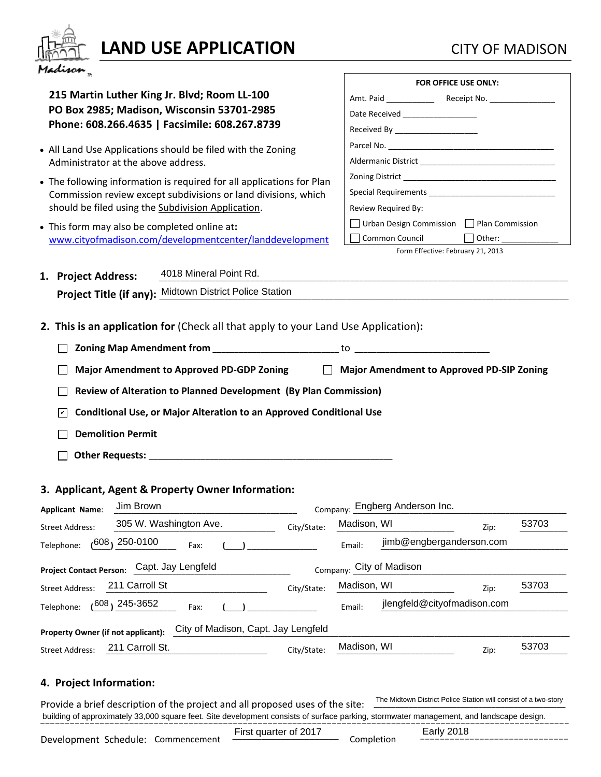

# **LAND USE APPLICATION** CITY OF MADISON

**215 Martin Luther King Jr. Blvd; Room LL-100 PO Box 2985; Madison, Wisconsin 53701-2985 Phone: 608.266.4635 | Facsimile: 608.267.8739**

- All Land Use Applications should be filed with the Zoning Administrator at the above address.
- The following information is required for all applications for Plan Commission review except subdivisions or land divisions, which should be filed using the Subdivision Application.
- This form may also be completed online at**:**  [www.cityofmadison.com/developmentcenter/landdevelopment](http://www.cityofmadison.com/developmentcenter/landdevelopment)

| FOR OFFICE USE ONLY:                        |        |
|---------------------------------------------|--------|
|                                             |        |
| Date Received __________________            |        |
| Received By ______________________          |        |
|                                             |        |
|                                             |        |
|                                             |        |
|                                             |        |
| Review Required By:                         |        |
| □ Urban Design Commission □ Plan Commission |        |
| Common Council                              | Other: |
| Form Effective: February 21, 2013           |        |

| 1. Project Address: | 4018 Mineral Point Rd.                                         |
|---------------------|----------------------------------------------------------------|
|                     | <b>Project Title (if any):</b> Midtown District Police Station |

**2. This is an application for** (Check all that apply to your Land Use Application)**:**

**Major Amendment to Approved PD-GDP Zoning Major Amendment to Approved PD-SIP Zoning**

**Review of Alteration to Planned Development (By Plan Commission)**

**Conditional Use, or Major Alteration to an Approved Conditional Use** ✔

**Demolition Permit** 

 **Other Requests:** \_\_\_\_\_\_\_\_\_\_\_\_\_\_\_\_\_\_\_\_\_\_\_\_\_\_\_\_\_\_\_\_\_\_\_\_\_\_\_\_\_\_\_\_\_\_\_\_\_\_\_\_\_\_\_\_

# **3. Applicant, Agent & Property Owner Information:**

| <b>Applicant Name:</b>                                                           | Company: Engberg Anderson Inc. |             |             |                             |      |       |  |
|----------------------------------------------------------------------------------|--------------------------------|-------------|-------------|-----------------------------|------|-------|--|
| <b>Street Address:</b>                                                           | 305 W. Washington Ave.         | City/State: | Madison, WI |                             | Zip: | 53703 |  |
| Telephone:                                                                       | $(608, 250 - 0100)$<br>Fax:    |             | Email:      | jimb@engberganderson.com    |      |       |  |
| Company: City of Madison<br>Capt. Jay Lengfeld<br><b>Project Contact Person:</b> |                                |             |             |                             |      |       |  |
| <b>Street Address:</b>                                                           | 211 Carroll St                 | City/State: | Madison, WI |                             | Zip: | 53703 |  |
| Telephone:                                                                       | ،608،245-3652<br>Fax:          |             | Email:      | jlengfeld@cityofmadison.com |      |       |  |
| City of Madison, Capt. Jay Lengfeld<br>Property Owner (if not applicant):        |                                |             |             |                             |      |       |  |
| <b>Street Address:</b>                                                           | 211 Carroll St.                | City/State: | Madison, WI |                             | Zip: | 53703 |  |

# **4. Project Information:**

Provide a brief description of the project and all proposed uses of the site: building of approximately 33,000 square feet. Site development consists of surface parking, stormwater management, and landscape design. The Midtown District Police Station will consist of a two-story